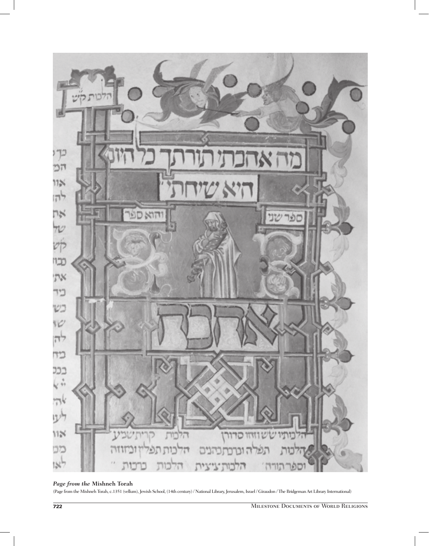

# *Page from the* **Mishneh Torah**

(Page from the Mishneh Torah, c.1351 (vellum), Jewish School, (14th century) / National Library, Jerusalem, Israel / Giraudon / The Bridgeman Art Library International)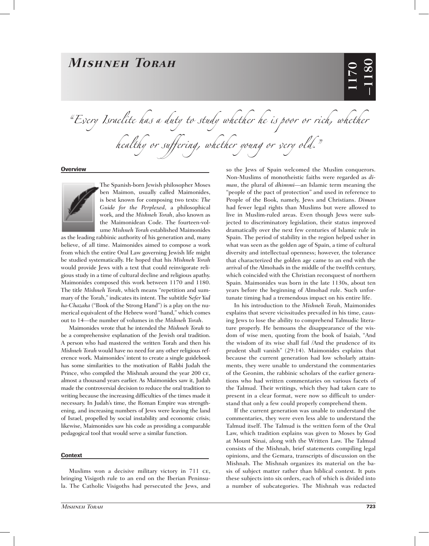# **Mishneh Torah**

"Every Israelite has a duty to study whether he is poor or rich, whether healthy or suffering, whether young or very old."

**Overview** 



The Spanish-born Jewish philosopher Moses ben Maimon, usually called Maimonides, is best known for composing two texts: *The Guide for the Perplexed*, a philosophical work, and the *Mishneh Torah*, also known as the Maimonidean Code. The fourteen-volume *Mishneh Torah* established Maimonides

as the leading rabbinic authority of his generation and, many believe, of all time. Maimonides aimed to compose a work from which the entire Oral Law governing Jewish life might be studied systematically. He hoped that his *Mishneh Torah* would provide Jews with a text that could reinvigorate religious study in a time of cultural decline and religious apathy. Maimonides composed this work between 1170 and 1180. The title *Mishneh Torah*, which means "repetition and summary of the Torah," indicates its intent. The subtitle *Sefer Yad ha-Chazaka* ("Book of the Strong Hand") is a play on the numerical equivalent of the Hebrew word "hand," which comes out to 14—the number of volumes in the *Mishneh Torah*.

Maimonides wrote that he intended the *Mishneh Torah* to be a comprehensive explanation of the Jewish oral tradition. A person who had mastered the written Torah and then his *Mishneh Torah* would have no need for any other religious reference work. Maimonides' intent to create a single guidebook has some similarities to the motivation of Rabbi Judah the Prince, who compiled the Mishnah around the year 200 ce, almost a thousand years earlier. As Maimonides saw it, Judah made the controversial decision to reduce the oral tradition to writing because the increasing difficulties of the times made it necessary. In Judah's time, the Roman Empire was strengthening, and increasing numbers of Jews were leaving the land of Israel, propelled by social instability and economic crisis; likewise, Maimonides saw his code as providing a comparable pedagogical tool that would serve a similar function.

#### **Context**

Muslims won a decisive military victory in 711 ce, bringing Visigoth rule to an end on the Iberian Peninsula. The Catholic Visigoths had persecuted the Jews, and

so the Jews of Spain welcomed the Muslim conquerors. Non-Muslims of monotheistic faiths were regarded as *diman*, the plural of *dhimmi*—an Islamic term meaning the "people of the pact of protection" and used in reference to People of the Book, namely, Jews and Christians. *Diman* had fewer legal rights than Muslims but were allowed to live in Muslim-ruled areas. Even though Jews were subjected to discriminatory legislation, their status improved dramatically over the next few centuries of Islamic rule in Spain. The period of stability in the region helped usher in what was seen as the golden age of Spain, a time of cultural diversity and intellectual openness; however, the tolerance that characterized the golden age came to an end with the arrival of the Almohads in the middle of the twelfth century, which coincided with the Christian reconquest of northern Spain. Maimonides was born in the late 1130s, about ten years before the beginning of Almohad rule. Such unfortunate timing had a tremendous impact on his entire life.

In his introduction to the *Mishneh Torah*, Maimonides explains that severe vicissitudes prevailed in his time, causing Jews to lose the ability to comprehend Talmudic literature properly. He bemoans the disappearance of the wisdom of wise men, quoting from the book of Isaiah, "And the wisdom of its wise shall fail /And the prudence of its prudent shall vanish" (29:14). Maimonides explains that because the current generation had low scholarly attainments, they were unable to understand the commentaries of the Geonim, the rabbinic scholars of the earlier generations who had written commentaries on various facets of the Talmud. Their writings, which they had taken care to present in a clear format, were now so difficult to understand that only a few could properly comprehend them.

If the current generation was unable to understand the commentaries, they were even less able to understand the Talmud itself. The Talmud is the written form of the Oral Law, which tradition explains was given to Moses by God at Mount Sinai, along with the Written Law. The Talmud consists of the Mishnah, brief statements compiling legal opinions, and the Gemara, transcripts of discussion on the Mishnah. The Mishnah organizes its material on the basis of subject matter rather than biblical context. It puts these subjects into six orders, each of which is divided into a number of subcategories. The Mishnah was redacted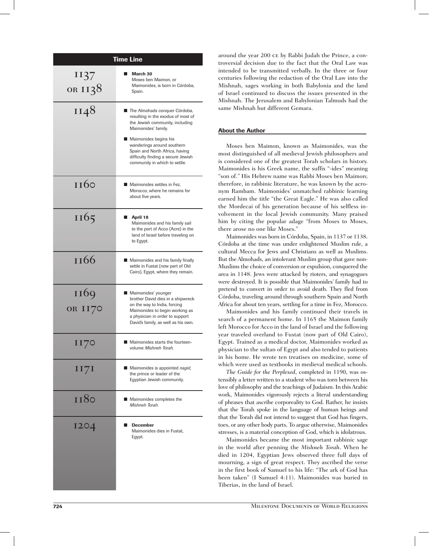| <b>Time Line</b> |                                                                                                                                                                                                                                                                                                   |
|------------------|---------------------------------------------------------------------------------------------------------------------------------------------------------------------------------------------------------------------------------------------------------------------------------------------------|
| 1137<br>OR 1138  | March 30<br>Moses ben Maimon, or<br>Maimonides, is born in Córdoba,<br>Spain.                                                                                                                                                                                                                     |
| 1148             | ■ The Almohads conquer Córdoba,<br>resulting in the exodus of most of<br>the Jewish community, including<br>Maimonides' family.<br>■ Maimonides begins his<br>wanderings around southern<br>Spain and North Africa, having<br>difficulty finding a secure Jewish<br>community in which to settle. |
| 1160             | Maimonides settles in Fez,<br>Morocco, where he remains for<br>about five years.                                                                                                                                                                                                                  |
| 1165             | April 18<br>Maimonides and his family sail<br>to the port of Acco (Acre) in the<br>land of Israel before traveling on<br>to Egypt.                                                                                                                                                                |
| 1166             | ■ Maimonides and his family finally<br>settle in Fustat (now part of Old<br>Cairo), Egypt, where they remain.                                                                                                                                                                                     |
| 1169<br>OR II70  | ■ Maimonides' younger<br>brother David dies in a shipwreck<br>on the way to India, forcing<br>Maimonides to begin working as<br>a physician in order to support<br>David's family, as well as his own.                                                                                            |
| 1170             | ■ Maimonides starts the fourteen-<br>volume Mishneh Torah.                                                                                                                                                                                                                                        |
| 1171             | ■ Maimonides is appointed <i>nagid</i> ,<br>the prince or leader of the<br>Egyptian Jewish community.                                                                                                                                                                                             |
| 1180             | Maimonides completes the<br>Mishneh Torah.                                                                                                                                                                                                                                                        |
| 1204             | <b>December</b><br>ш<br>Maimonides dies in Fustat,<br>Egypt.                                                                                                                                                                                                                                      |

around the year 200 ce by Rabbi Judah the Prince, a controversial decision due to the fact that the Oral Law was intended to be transmitted verbally. In the three or four centuries following the redaction of the Oral Law into the Mishnah, sages working in both Babylonia and the land of Israel continued to discuss the issues presented in the Mishnah. The Jerusalem and Babylonian Talmuds had the same Mishnah but different Gemara.

#### About the Author

Moses ben Maimon, known as Maimonides, was the most distinguished of all medieval Jewish philosophers and is considered one of the greatest Torah scholars in history. Maimonides is his Greek name, the suffix "-ides" meaning "son of." His Hebrew name was Rabbi Moses ben Maimon; therefore, in rabbinic literature, he was known by the acronym Rambam. Maimonides' unmatched rabbinic learning earned him the title "the Great Eagle." He was also called the Mordecai of his generation because of his selfless involvement in the local Jewish community. Many praised him by citing the popular adage "from Moses to Moses, there arose no one like Moses."

Maimonides was born in Córdoba, Spain, in 1137 or 1138. Córdoba at the time was under enlightened Muslim rule, a cultural Mecca for Jews and Christians as well as Muslims. But the Almohads, an intolerant Muslim group that gave non-Muslims the choice of conversion or expulsion, conquered the area in 1148. Jews were attacked by rioters, and synagogues were destroyed. It is possible that Maimonides' family had to pretend to convert in order to avoid death. They fled from Córdoba, traveling around through southern Spain and North Africa for about ten years, settling for a time in Fez, Morocco.

Maimonides and his family continued their travels in search of a permanent home. In 1165 the Maimon family left Morocco for Acco in the land of Israel and the following year traveled overland to Fustat (now part of Old Cairo), Egypt. Trained as a medical doctor, Maimonides worked as physician to the sultan of Egypt and also tended to patients in his home. He wrote ten treatises on medicine, some of which were used as textbooks in medieval medical schools.

*The Guide for the Perplexed*, completed in 1190, was ostensibly a letter written to a student who was torn between his love of philosophy and the teachings of Judaism. In this Arabic work, Maimonides vigorously rejects a literal understanding of phrases that ascribe corporeality to God. Rather, he insists that the Torah spoke in the language of human beings and that the Torah did not intend to suggest that God has fingers, toes, or any other body parts. To argue otherwise, Maimonides stresses, is a material conception of God, which is idolatrous.

Maimonides became the most important rabbinic sage in the world after penning the *Mishneh Torah*. When he died in 1204, Egyptian Jews observed three full days of mourning, a sign of great respect. They ascribed the verse in the first book of Samuel to his life: "The ark of God has been taken" (I Samuel 4:11). Maimonides was buried in Tiberias, in the land of Israel.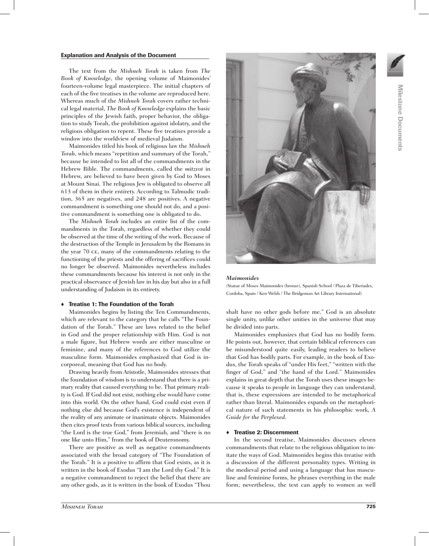# **Milestone Documents** Milestone Documents

# Explanation and Analysis of the Document

The text from the *Mishneh Torah* is taken from *The Book of Knowledge*, the opening volume of Maimonides' fourteen-volume legal masterpiece. The initial chapters of each of the five treatises in the volume are reproduced here. Whereas much of the *Mishneh Torah* covers rather technical legal material, *The Book of Knowledge* explains the basic principles of the Jewish faith, proper behavior, the obligation to study Torah, the prohibition against idolatry, and the religious obligation to repent. These five treatises provide a window into the worldview of medieval Judaism.

Maimonides titled his book of religious law the *Mishneh Torah*, which means "repetition and summary of the Torah," because he intended to list all of the commandments in the Hebrew Bible. The commandments, called the *mitzvot* in Hebrew, are believed to have been given by God to Moses at Mount Sinai. The religious Jew is obligated to observe all 613 of them in their entirety. According to Talmudic tradition, 365 are negatives, and 248 are positives. A negative commandment is something one should not do, and a positive commandment is something one is obligated to do.

The *Mishneh Torah* includes an entire list of the commandments in the Torah, regardless of whether they could be observed at the time of the writing of the work. Because of the destruction of the Temple in Jerusalem by the Romans in the year 70 ce, many of the commandments relating to the functioning of the priests and the offering of sacrifices could no longer be observed. Maimonides nevertheless includes these commandments because his interest is not only in the practical observance of Jewish law in his day but also in a full understanding of Judaism in its entirety.

# ♦ Treatise 1: The Foundation of the Torah

Maimonides begins by listing the Ten Commandments, which are relevant to the category that he calls "The Foundation of the Torah." These are laws related to the belief in God and the proper relationship with Him. God is not a male figure, but Hebrew words are either masculine or feminine, and many of the references to God utilize the masculine form. Maimonides emphasized that God is incorporeal, meaning that God has no body.

Drawing heavily from Aristotle, Maimonides stresses that the foundation of wisdom is to understand that there is a primary reality that caused everything to be. That primary reality is God. If God did not exist, nothing else would have come into this world. On the other hand, God could exist even if nothing else did because God's existence is independent of the reality of any animate or inanimate objects. Maimonides then cites proof texts from various biblical sources, including "the Lord is the true God," from Jeremiah, and "there is no one like unto Him," from the book of Deuteronomy.

There are positive as well as negative commandments associated with the broad category of "The Foundation of the Torah." It is a positive to affirm that God exists, as it is written in the book of Exodus "I am the Lord thy God." It is a negative commandment to reject the belief that there are any other gods, as it is written in the book of Exodus "Thou



# *Maimonides*

(Statue of Moses Maimonides (bronze), Spanish School / Plaza de Tiberiades, Cordoba, Spain / Ken Welsh / The Bridgeman Art Library International)

shalt have no other gods before me." God is an absolute single unity, unlike other unities in the universe that may be divided into parts.

Maimonides emphasizes that God has no bodily form. He points out, however, that certain biblical references can be misunderstood quite easily, leading readers to believe that God has bodily parts. For example, in the book of Exodus, the Torah speaks of "under His feet," "written with the finger of God," and "the hand of the Lord." Maimonides explains in great depth that the Torah uses these images because it speaks to people in language they can understand; that is, these expressions are intended to be metaphorical rather than literal. Maimonides expands on the metaphorical nature of such statements in his philosophic work, *A Guide for the Perplexed*.

# ♦ Treatise 2: Discernment

In the second treatise, Maimonides discusses eleven commandments that relate to the religious obligation to imitate the ways of God. Maimonides begins this treatise with a discussion of the different personality types. Writing in the medieval period and using a language that has masculine and feminine forms, he phrases everything in the male form; nevertheless, the text can apply to women as well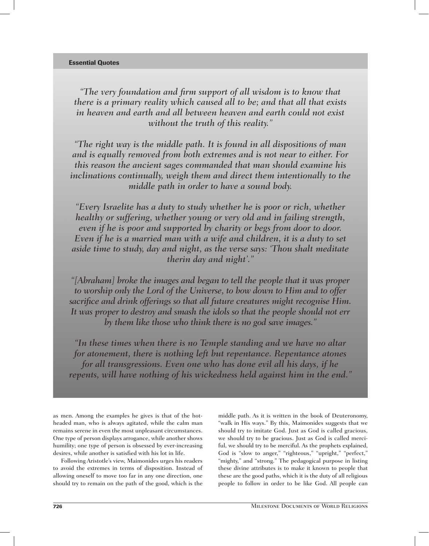*"The very foundation and firm support of all wisdom is to know that there is a primary reality which caused all to be; and that all that exists in heaven and earth and all between heaven and earth could not exist without the truth of this reality."*

*"The right way is the middle path. It is found in all dispositions of man and is equally removed from both extremes and is not near to either. For this reason the ancient sages commanded that man should examine his*  inclinations continually, weigh them and direct them intentionally to the *middle path in order to have a sound body.*

*"Every Israelite has a duty to study whether he is poor or rich, whether healthy or suffering, whether young or very old and in failing strength, even if he is poor and supported by charity or begs from door to door. Even if he is a married man with a wife and children, it is a duty to set aside time to study, day and night, as the verse says: 'Thou shalt meditate therin day and night'."*

*"[Abraham] broke the images and began to tell the people that it was proper to worship only the Lord of the Universe, to bow down to Him and to offer sacrifice and drink offerings so that all future creatures might recognise Him. It was proper to destroy and smash the idols so that the people should not err by them like those who think there is no god save images."*

*"In these times when there is no Temple standing and we have no altar for atonement, there is nothing left but repentance. Repentance atones for all transgressions. Even one who has done evil all his days, if he repents, will have nothing of his wickedness held against him in the end."*

as men. Among the examples he gives is that of the hotheaded man, who is always agitated, while the calm man remains serene in even the most unpleasant circumstances. One type of person displays arrogance, while another shows humility; one type of person is obsessed by ever-increasing desires, while another is satisfied with his lot in life.

Following Aristotle's view, Maimonides urges his readers to avoid the extremes in terms of disposition. Instead of allowing oneself to move too far in any one direction, one should try to remain on the path of the good, which is the middle path. As it is written in the book of Deuteronomy, "walk in His ways." By this, Maimonides suggests that we should try to imitate God. Just as God is called gracious, we should try to be gracious. Just as God is called merciful, we should try to be merciful. As the prophets explained, God is "slow to anger," "righteous," "upright," "perfect," "mighty," and "strong." The pedagogical purpose in listing these divine attributes is to make it known to people that these are the good paths, which it is the duty of all religious people to follow in order to be like God. All people can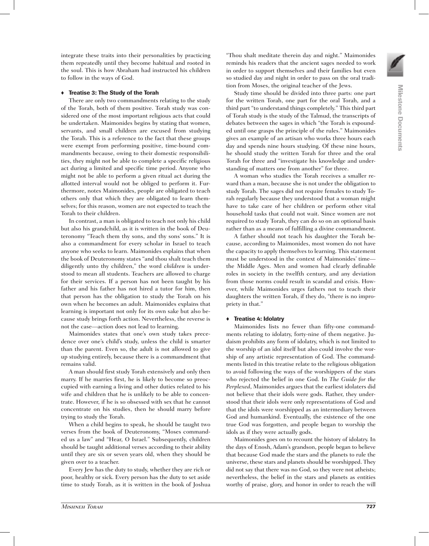

integrate these traits into their personalities by practicing them repeatedly until they become habitual and rooted in the soul. This is how Abraham had instructed his children to follow in the ways of God.

# ♦ Treatise 3: The Study of the Torah

There are only two commandments relating to the study of the Torah, both of them positive. Torah study was considered one of the most important religious acts that could be undertaken. Maimonides begins by stating that women, servants, and small children are excused from studying the Torah. This is a reference to the fact that these groups were exempt from performing positive, time-bound commandments because, owing to their domestic responsibilities, they might not be able to complete a specific religious act during a limited and specific time period. Anyone who might not be able to perform a given ritual act during the allotted interval would not be obliged to perform it. Furthermore, notes Maimonides, people are obligated to teach others only that which they are obligated to learn themselves; for this reason, women are not expected to teach the Torah to their children.

In contrast, a man is obligated to teach not only his child but also his grandchild, as it is written in the book of Deuteronomy "Teach them thy sons, and thy sons' sons." It is also a commandment for every scholar in Israel to teach anyone who seeks to learn. Maimonides explains that when the book of Deuteronomy states "and thou shalt teach them diligently unto thy children," the word *children* is understood to mean all students. Teachers are allowed to charge for their services. If a person has not been taught by his father and his father has not hired a tutor for him, then that person has the obligation to study the Torah on his own when he becomes an adult. Maimonides explains that learning is important not only for its own sake but also because study brings forth action. Nevertheless, the reverse is not the case—action does not lead to learning.

Maimonides states that one's own study takes precedence over one's child's study, unless the child is smarter than the parent. Even so, the adult is not allowed to give up studying entirely, because there is a commandment that remains valid.

A man should first study Torah extensively and only then marry. If he marries first, he is likely to become so preoccupied with earning a living and other duties related to his wife and children that he is unlikely to be able to concentrate. However, if he is so obsessed with sex that he cannot concentrate on his studies, then he should marry before trying to study the Torah.

When a child begins to speak, he should be taught two verses from the book of Deuteronomy, "Moses commanded us a law" and "Hear, O Israel." Subsequently, children should be taught additional verses according to their ability until they are six or seven years old, when they should be given over to a teacher.

Every Jew has the duty to study, whether they are rich or poor, healthy or sick. Every person has the duty to set aside time to study Torah, as it is written in the book of Joshua "Thou shalt meditate therein day and night." Maimonides reminds his readers that the ancient sages needed to work in order to support themselves and their families but even so studied day and night in order to pass on the oral tradition from Moses, the original teacher of the Jews.

Study time should be divided into three parts: one part for the written Torah, one part for the oral Torah, and a third part "to understand things completely." This third part of Torah study is the study of the Talmud, the transcripts of debates between the sages in which "the Torah is expounded until one grasps the principle of the rules." Maimonides gives an example of an artisan who works three hours each day and spends nine hours studying. Of these nine hours, he should study the written Torah for three and the oral Torah for three and "investigate his knowledge and understanding of matters one from another" for three.

A woman who studies the Torah receives a smaller reward than a man, because she is not under the obligation to study Torah. The sages did not require females to study Torah regularly because they understood that a woman might have to take care of her children or perform other vital household tasks that could not wait. Since women are not required to study Torah, they can do so on an optional basis rather than as a means of fulfilling a divine commandment.

A father should not teach his daughter the Torah because, according to Maimonides, most women do not have the capacity to apply themselves to learning. This statement must be understood in the context of Maimonides' time the Middle Ages. Men and women had clearly definable roles in society in the twelfth century, and any deviation from those norms could result in scandal and crisis. However, while Maimonides urges fathers not to teach their daughters the written Torah, if they do, "there is no impropriety in that."

# ♦ Treatise 4: Idolatry

Maimonides lists no fewer than fifty-one commandments relating to idolatry, forty-nine of them negative. Judaism prohibits any form of idolatry, which is not limited to the worship of an idol itself but also could involve the worship of any artistic representation of God. The commandments listed in this treatise relate to the religious obligation to avoid following the ways of the worshippers of the stars who rejected the belief in one God. In *The Guide for the Perplexed*, Maimonides argues that the earliest idolaters did not believe that their idols were gods. Rather, they understood that their idols were only representations of God and that the idols were worshipped as an intermediary between God and humankind. Eventually, the existence of the one true God was forgotten, and people began to worship the idols as if they were actually gods.

Maimonides goes on to recount the history of idolatry. In the days of Enosh, Adam's grandson, people began to believe that because God made the stars and the planets to rule the universe, these stars and planets should be worshipped. They did not say that there was no God, so they were not atheists; nevertheless, the belief in the stars and planets as entities worthy of praise, glory, and honor in order to reach the will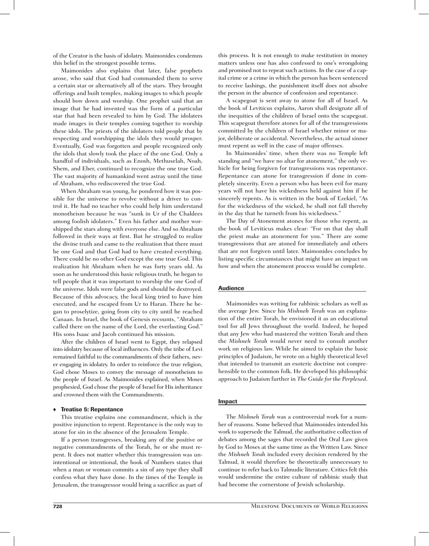of the Creator is the basis of idolatry. Maimonides condemns this belief in the strongest possible terms.

Maimonides also explains that later, false prophets arose, who said that God had commanded them to serve a certain star or alternatively all of the stars. They brought offerings and built temples, making images to which people should bow down and worship. One prophet said that an image that he had invented was the form of a particular star that had been revealed to him by God. The idolaters made images in their temples coming together to worship these idols. The priests of the idolaters told people that by respecting and worshipping the idols they would prosper. Eventually, God was forgotten and people recognized only the idols that slowly took the place of the one God. Only a handful of individuals, such as Enosh, Methuselah, Noah, Shem, and Eber, continued to recognize the one true God. The vast majority of humankind went astray until the time of Abraham, who rediscovered the true God.

When Abraham was young, he pondered how it was possible for the universe to revolve without a driver to control it. He had no teacher who could help him understand monotheism because he was "sunk in Ur of the Chaldees among foolish idolaters." Even his father and mother worshipped the stars along with everyone else. And so Abraham followed in their ways at first. But he struggled to realize the divine truth and came to the realization that there must be one God and that God had to have created everything. There could be no other God except the one true God. This realization hit Abraham when he was forty years old. As soon as he understood this basic religious truth, he began to tell people that it was important to worship the one God of the universe. Idols were false gods and should be destroyed. Because of this advocacy, the local king tried to have him executed, and he escaped from Ur to Haran. There he began to proselytize, going from city to city until he reached Canaan. In Israel, the book of Genesis recounts, "Abraham called there on the name of the Lord, the everlasting God." His sons Isaac and Jacob continued his mission.

After the children of Israel went to Egypt, they relapsed into idolatry because of local influences. Only the tribe of Levi remained faithful to the commandments of their fathers, never engaging in idolatry. In order to reinforce the true religion, God chose Moses to convey the message of monotheism to the people of Israel. As Maimonides explained, when Moses prophesied, God chose the people of Israel for His inheritance and crowned them with the Commandments.

#### ♦ Treatise 5: Repentance

This treatise explains one commandment, which is the positive injunction to repent. Repentance is the only way to atone for sin in the absence of the Jerusalem Temple.

If a person transgresses, breaking any of the positive or negative commandments of the Torah, he or she must repent. It does not matter whether this transgression was unintentional or intentional, the book of Numbers states that when a man or woman commits a sin of any type they shall confess what they have done. In the times of the Temple in Jerusalem, the transgressor would bring a sacrifice as part of

this process. It is not enough to make restitution in money matters unless one has also confessed to one's wrongdoing and promised not to repeat such actions. In the case of a capital crime or a crime in which the person has been sentenced to receive lashings, the punishment itself does not absolve the person in the absence of confession and repentance.

A scapegoat is sent away to atone for all of Israel. As the book of Leviticus explains, Aaron shall designate all of the inequities of the children of Israel onto the scapegoat. This scapegoat therefore atones for all of the transgressions committed by the children of Israel whether minor or major, deliberate or accidental. Nevertheless, the actual sinner must repent as well in the case of major offenses.

In Maimonides' time, when there was no Temple left standing and "we have no altar for atonement," the only vehicle for being forgiven for transgressions was repentance. Repentance can atone for transgression if done in completely sincerity. Even a person who has been evil for many years will not have his wickedness held against him if he sincerely repents. As is written in the book of Ezekiel, "As for the wickedness of the wicked, he shall not fall thereby in the day that he turneth from his wickedness."

The Day of Atonement atones for those who repent, as the book of Leviticus makes clear: "For on that day shall the priest make an atonement for you." There are some transgressions that are atoned for immediately and others that are not forgiven until later. Maimonides concludes by listing specific circumstances that might have an impact on how and when the atonement process would be complete.

#### **Audience**

Maimonides was writing for rabbinic scholars as well as the average Jew. Since his *Mishneh Torah* was an explanation of the entire Torah, he envisioned it as an educational tool for all Jews throughout the world. Indeed, he hoped that any Jew who had mastered the written Torah and then the *Mishneh Torah* would never need to consult another work on religious law. While he aimed to explain the basic principles of Judaism, he wrote on a highly theoretical level that intended to transmit an esoteric doctrine not comprehensible to the common folk. He developed his philosophic approach to Judaism further in *The Guide for the Perplexed*.

#### Impact

The *Mishneh Torah* was a controversial work for a number of reasons. Some believed that Maimonides intended his work to supersede the Talmud, the authoritative collection of debates among the sages that recorded the Oral Law given by God to Moses at the same time as the Written Law. Since the *Mishneh Torah* included every decision rendered by the Talmud, it would therefore be theoretically unnecessary to continue to refer back to Talmudic literature. Critics felt this would undermine the entire culture of rabbinic study that had become the cornerstone of Jewish scholarship.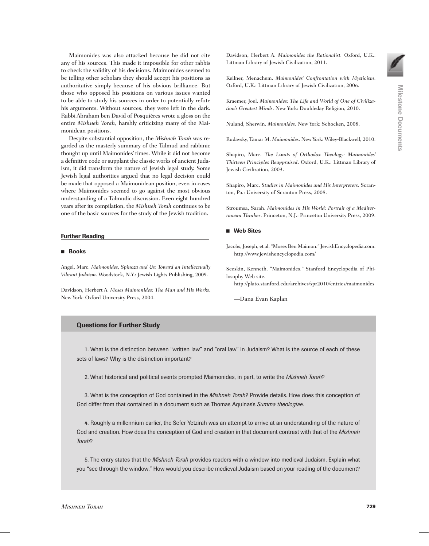Maimonides was also attacked because he did not cite any of his sources. This made it impossible for other rabbis to check the validity of his decisions. Maimonides seemed to be telling other scholars they should accept his positions as authoritative simply because of his obvious brilliance. But those who opposed his positions on various issues wanted to be able to study his sources in order to potentially refute his arguments. Without sources, they were left in the dark. Rabbi Abraham ben David of Posquières wrote a gloss on the entire *Mishneh Torah*, harshly criticizing many of the Maimonidean positions.

Despite substantial opposition, the *Mishneh Torah* was regarded as the masterly summary of the Talmud and rabbinic thought up until Maimonides' times. While it did not become a definitive code or supplant the classic works of ancient Judaism, it did transform the nature of Jewish legal study. Some Jewish legal authorities argued that no legal decision could be made that opposed a Maimonidean position, even in cases where Maimonides seemed to go against the most obvious understanding of a Talmudic discussion. Even eight hundred years after its compilation, the *Mishneh Torah* continues to be one of the basic sources for the study of the Jewish tradition.

#### Further Reading

#### ■ Books

Angel, Marc. *Maimonides, Spinoza and Us: Toward an Intellectually Vibrant Judaism*. Woodstock, N.Y.: Jewish Lights Publishing, 2009.

Davidson, Herbert A. *Moses Maimonides: The Man and His Works*. New York: Oxford University Press, 2004.

Davidson, Herbert A. *Maimonides the Rationalist.* Oxford, U.K.: Littman Library of Jewish Civilization, 2011.

Kellner, Menachem. *Maimonides' Confrontation with Mysticism*. Oxford, U.K.: Littman Library of Jewish Civilization, 2006.

Kraemer, Joel. *Maimonides: The Life and World of One of Civilization's Greatest Minds*. New York: Doubleday Religion, 2010.

Nuland, Sherwin. *Maimonides*. New York: Schocken, 2008.

Rudavsky, Tamar M. *Maimonides*. New York: Wiley-Blackwell, 2010.

Shapiro, Marc. *The Limits of Orthodox Theology: Maimonides' Thirteen Principles Reappraised*. Oxford, U.K.: Littman Library of Jewish Civilization, 2003.

Shapiro, Marc. *Studies in Maimonides and His Interpreters*. Scranton, Pa.: University of Scranton Press, 2008.

Stroumsa, Sarah. *Maimonides in His World: Portrait of a Mediterranean Thinker*. Princeton, N.J.: Princeton University Press, 2009.

#### ■ Web Sites

Jacobs, Joseph, et al. "Moses Ben Maimon." JewishEncyclopedia.com. http://www.jewishencyclopedia.com/

Seeskin, Kenneth. "Maimonides." Stanford Encyclopedia of Philosophy Web site.

http://plato.stanford.edu/archives/spr2010/entries/maimonides

—Dana Evan Kaplan

# Questions for Further Study

1. What is the distinction between "written law" and "oral law" in Judaism? What is the source of each of these sets of laws? Why is the distinction important?

2. What historical and political events prompted Maimonides, in part, to write the *Mishneh Torah*?

3. What is the conception of God contained in the *Mishneh Torah*? Provide details. How does this conception of God differ from that contained in a document such as Thomas Aquinas's *Summa theologiae*.

4. Roughly a millennium earlier, the Sefer Yetzirah was an attempt to arrive at an understanding of the nature of God and creation. How does the conception of God and creation in that document contrast with that of the *Mishneh Torah*?

5. The entry states that the *Mishneh Torah* provides readers with a window into medieval Judaism. Explain what you "see through the window." How would you describe medieval Judaism based on your reading of the document?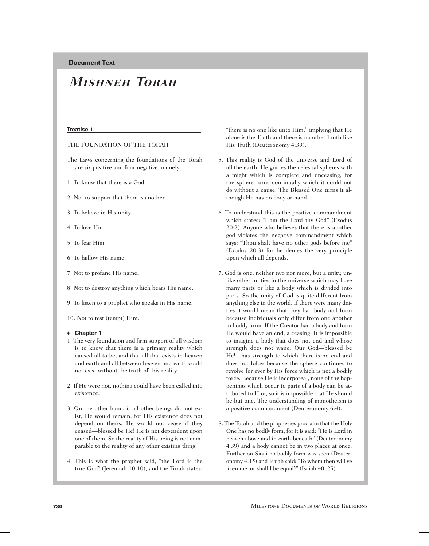# **Mishneh Torah**

#### Treatise 1

THE FOUNDATION OF THE TORAH

- The Laws concerning the foundations of the Torah are six positive and four negative, namely:
- 1. To know that there is a God.
- 2. Not to support that there is another.
- 3. To believe in His unity.
- 4. To love Him.
- 5. To fear Him.
- 6. To hallow His name.
- 7. Not to profane His name.
- 8. Not to destroy anything which bears His name.
- 9. To listen to a prophet who speaks in His name.

10. Not to test (tempt) Him.

#### ♦ Chapter 1

- 1. The very foundation and firm support of all wisdom is to know that there is a primary reality which caused all to be; and that all that exists in heaven and earth and all between heaven and earth could not exist without the truth of this reality.
- 2. If He were not, nothing could have been called into existence.
- 3. On the other hand, if all other beings did not exist, He would remain; for His existence does not depend on theirs. He would not cease if they ceased—blessed be He! He is not dependent upon one of them. So the reality of His being is not comparable to the reality of any other existing thing.
- 4. This is what the prophet said, "the Lord is the true God" (Jeremiah 10:10), and the Torah states:

"there is no one like unto Him," implying that He alone is the Truth and there is no other Truth like His Truth (Deuteronomy 4:39).

- 5. This reality is God of the universe and Lord of all the earth. He guides the celestial spheres with a might which is complete and unceasing, for the sphere turns continually which it could not do without a cause. The Blessed One turns it although He has no body or hand.
- 6. To understand this is the positive commandment which states: "I am the Lord thy God" (Exodus 20:2). Anyone who believes that there is another god violates the negative commandment which says: "Thou shalt have no other gods before me" (Exodus 20:3) for he denies the very principle upon which all depends.
- 7. God is one, neither two nor more, but a unity, unlike other unities in the universe which may have many parts or like a body which is divided into parts. So the unity of God is quite different from anything else in the world. If there were many deities it would mean that they had body and form because individuals only differ from one another in bodily form. If the Creator had a body and form He would have an end, a ceasing. It is impossible to imagine a body that does not end and whose strength does not wane. Our God—blessed be He!—has strength to which there is no end and does not falter because the sphere continues to revolve for ever by His force which is not a bodily force. Because He is incorporeal, none of the happenings which occur to parts of a body can be attributed to Him, so it is impossible that He should be but one. The understanding of monotheism is a positive commandment (Deuteronomy 6:4).
- 8. The Torah and the prophesies proclaim that the Holy One has no bodily form, for it is said: "He is Lord in heaven above and in earth beneath" (Deuteronomy 4:39) and a body cannot be in two places at once. Further on Sinai no bodily form was seen (Deuteronomy 4:15) and Isaiah said: "To whom then will ye liken me, or shall I be equal?" (Isaiah 40: 25).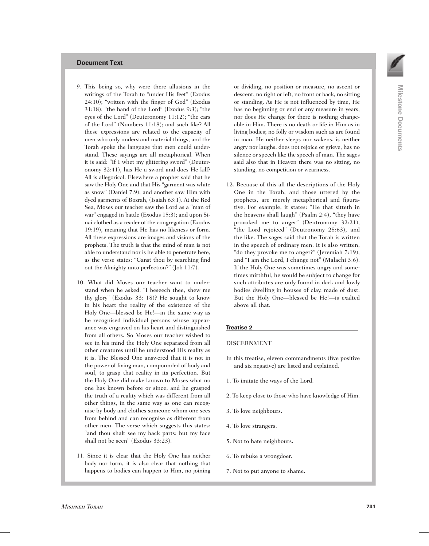- 9. This being so, why were there allusions in the writings of the Torah to "under His feet" (Exodus  $24:10$ ); "written with the finger of God" (Exodus 31:18); "the hand of the Lord" (Exodus 9:3); "the eyes of the Lord" (Deuteronomy 11:12); "the ears of the Lord" (Numbers 11:18); and such like? All these expressions are related to the capacity of men who only understand material things, and the Torah spoke the language that men could understand. These sayings are all metaphorical. When it is said: "If I whet my glittering sword" (Deuteronomy 32:41), has He a sword and does He kill? All is allegorical. Elsewhere a prophet said that he saw the Holy One and that His "garment was white as snow" (Daniel 7:9); and another saw Him with dyed garments of Bozrah, (Isaiah 63:1). At the Red Sea, Moses our teacher saw the Lord as a "man of war" engaged in battle (Exodus 15:3); and upon Sinai clothed as a reader of the congregation (Exodus 19:19), meaning that He has no likeness or form. All these expressions are images and visions of the prophets. The truth is that the mind of man is not able to understand nor is he able to penetrate here, as the verse states: "Canst thou by searching find out the Almighty unto perfection?" (Job 11:7).
- 10. What did Moses our teacher want to understand when he asked: "I beseech thee, shew me thy glory" (Exodus 33: 18)? He sought to know in his heart the reality of the existence of the Holy One—blessed be He!—in the same way as he recognised individual persons whose appearance was engraved on his heart and distinguished from all others. So Moses our teacher wished to see in his mind the Holy One separated from all other creatures until he understood His reality as it is. The Blessed One answered that it is not in the power of living man, compounded of body and soul, to grasp that reality in its perfection. But the Holy One did make known to Moses what no one has known before or since; and he grasped the truth of a reality which was different from all other things, in the same way as one can recognise by body and clothes someone whom one sees from behind and can recognise as different from other men. The verse which suggests this states: "and thou shalt see my back parts: but my face shall not be seen" (Exodus 33:23).
- 11. Since it is clear that the Holy One has neither body nor form, it is also clear that nothing that happens to bodies can happen to Him, no joining

or dividing, no position or measure, no ascent or descent, no right or left, no front or back, no sitting or standing. As He is not influenced by time, He has no beginning or end or any measure in years, nor does He change for there is nothing changeable in Him. There is no death or life in Him as in living bodies; no folly or wisdom such as are found in man. He neither sleeps nor wakens, is neither angry nor laughs, does not rejoice or grieve, has no silence or speech like the speech of man. The sages said also that in Heaven there was no sitting, no standing, no competition or weariness.

12. Because of this all the descriptions of the Holy One in the Torah, and those uttered by the prophets, are merely metaphorical and figurative. For example, it states: "He that sitteth in the heavens shall laugh" (Psalm 2:4), "they have provoked me to anger" (Deutronomy 32:21), "the Lord rejoiced" (Deutronomy 28:63), and the like. The sages said that the Torah is written in the speech of ordinary men. It is also written, "do they provoke me to anger?" (Jeremiah 7:19), and "I am the Lord, I change not" (Malachi 3:6). If the Holy One was sometimes angry and sometimes mirthful, he would be subject to change for such attributes are only found in dark and lowly bodies dwelling in houses of clay, made of dust. But the Holy One—blessed be He!—is exalted above all that.

# Treatise 2

#### DISCERNMENT

- In this treatise, eleven commandments (five positive and six negative) are listed and explained.
- 1. To imitate the ways of the Lord.
- 2. To keep close to those who have knowledge of Him.
- 3. To love neighbours.
- 4. To love strangers.
- 5. Not to hate neighbours.
- 6. To rebuke a wrongdoer.
- 7. Not to put anyone to shame.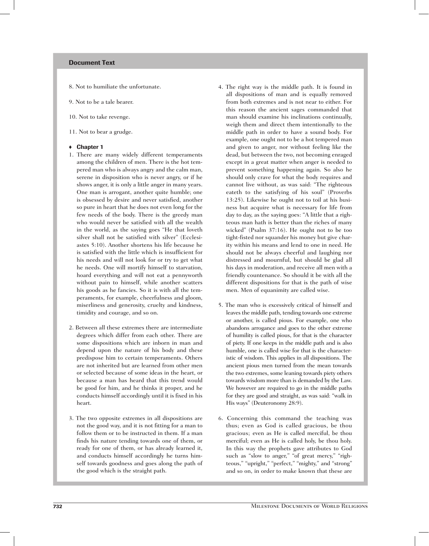- 8. Not to humiliate the unfortunate.
- 9. Not to be a tale bearer.
- 10. Not to take revenge.
- 11. Not to bear a grudge.

#### ♦ Chapter 1

- 1. There are many widely different temperaments among the children of men. There is the hot tempered man who is always angry and the calm man, serene in disposition who is never angry, or if he shows anger, it is only a little anger in many years. One man is arrogant, another quite humble; one is obsessed by desire and never satisfied, another so pure in heart that he does not even long for the few needs of the body. There is the greedy man who would never be satisfied with all the wealth in the world, as the saying goes "He that loveth silver shall not be satisfied with silver" (Ecclesiastes 5:10). Another shortens his life because he is satisfied with the little which is insufficient for his needs and will not look for or try to get what he needs. One will mortify himself to starvation, hoard everything and will not eat a pennyworth without pain to himself, while another scatters his goods as he fancies. So it is with all the temperaments, for example, cheerfulness and gloom, miserliness and generosity, cruelty and kindness, timidity and courage, and so on.
- 2. Between all these extremes there are intermediate degrees which differ from each other. There are some dispositions which are inborn in man and depend upon the nature of his body and these predispose him to certain temperaments. Others are not inherited but are learned from other men or selected because of some ideas in the heart, or because a man has heard that this trend would be good for him, and he thinks it proper, and he conducts himself accordingly until it is fixed in his heart.
- 3. The two opposite extremes in all dispositions are not the good way, and it is not fitting for a man to follow them or to be instructed in them. If a man finds his nature tending towards one of them, or ready for one of them, or has already learned it, and conducts himself accordingly he turns himself towards goodness and goes along the path of the good which is the straight path.
- 4. The right way is the middle path. It is found in all dispositions of man and is equally removed from both extremes and is not near to either. For this reason the ancient sages commanded that man should examine his inclinations continually, weigh them and direct them intentionally to the middle path in order to have a sound body. For example, one ought not to be a hot tempered man and given to anger, nor without feeling like the dead, but between the two, not becoming enraged except in a great matter when anger is needed to prevent something happening again. So also he should only crave for what the body requires and cannot live without, as was said: "The righteous eateth to the satisfying of his soul" (Proverbs 13:25). Likewise he ought not to toil at his business but acquire what is necessary for life from day to day, as the saying goes: "A little that a righteous man hath is better than the riches of many wicked" (Psalm 37:16). He ought not to be too tight-fisted nor squander his money but give charity within his means and lend to one in need. He should not be always cheerful and laughing nor distressed and mournful, but should be glad all his days in moderation, and receive all men with a friendly countenance. So should it be with all the different dispositions for that is the path of wise men. Men of equanimity are called wise.
- 5. The man who is excessively critical of himself and leaves the middle path, tending towards one extreme or another, is called pious. For example, one who abandons arrogance and goes to the other extreme of humility is called pious, for that is the character of piety. If one keeps in the middle path and is also humble, one is called wise for that is the characteristic of wisdom. This applies in all dispositions. The ancient pious men turned from the mean towards the two extremes, some leaning towards piety others towards wisdom more than is demanded by the Law. We however are required to go in the middle paths for they are good and straight, as was said: "walk in His ways" (Deuteronomy 28:9).
- 6. Concerning this command the teaching was thus; even as God is called gracious, be thou gracious; even as He is called merciful, be thou merciful; even as He is called holy, be thou holy. In this way the prophets gave attributes to God such as "slow to anger," "of great mercy," "righteous," "upright," "perfect," "mighty," and "strong" and so on, in order to make known that these are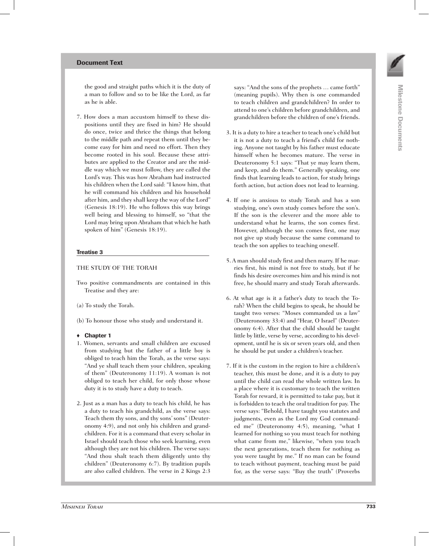the good and straight paths which it is the duty of a man to follow and so to be like the Lord, as far as he is able.

7. How does a man accustom himself to these dispositions until they are fixed in him? He should do once, twice and thrice the things that belong to the middle path and repeat them until they become easy for him and need no effort. Then they become rooted in his soul. Because these attributes are applied to the Creator and are the middle way which we must follow, they are called the Lord's way. This was how Abraham had instructed his children when the Lord said: "I know him, that he will command his children and his household after him, and they shall keep the way of the Lord" (Genesis 18:19). He who follows this way brings well being and blessing to himself, so "that the Lord may bring upon Abraham that which he hath spoken of him" (Genesis 18:19).

#### Treatise 3

# THE STUDY OF THE TORAH

- Two positive commandments are contained in this Treatise and they are:
- (a) To study the Torah.
- (b) To honour those who study and understand it.

#### ♦ Chapter 1

- 1. Women, servants and small children are excused from studying but the father of a little boy is obliged to teach him the Torah, as the verse says: "And ye shall teach them your children, speaking of them" (Deuteronomy 11:19). A woman is not obliged to teach her child, for only those whose duty it is to study have a duty to teach.
- 2. Just as a man has a duty to teach his child, he has a duty to teach his grandchild, as the verse says: Teach them thy sons, and thy sons' sons" (Deuteronomy 4:9), and not only his children and grandchildren. For it is a command that every scholar in Israel should teach those who seek learning, even although they are not his children. The verse says: "And thou shalt teach them diligently unto thy children" (Deuteronomy 6:7). By tradition pupils are also called children. The verse in 2 Kings 2:3

says: "And the sons of the prophets … came forth" (meaning pupils). Why then is one commanded to teach children and grandchildren? In order to attend to one's children before grandchildren, and grandchildren before the children of one's friends.

- 3. It is a duty to hire a teacher to teach one's child but it is not a duty to teach a friend's child for nothing. Anyone not taught by his father must educate himself when he becomes mature. The verse in Deuteronomy 5:1 says: "That ye may learn them, and keep, and do them." Generally speaking, one finds that learning leads to action, for study brings forth action, but action does not lead to learning.
- 4. If one is anxious to study Torah and has a son studying, one's own study comes before the son's. If the son is the cleverer and the more able to understand what he learns, the son comes first. However, although the son comes first, one may not give up study because the same command to teach the son applies to teaching oneself.
- 5. A man should study first and then marry. If he marries first, his mind is not free to study, but if he finds his desire overcomes him and his mind is not free, he should marry and study Torah afterwards.
- 6. At what age is it a father's duty to teach the Torah? When the child begins to speak, he should be taught two verses: "Moses commanded us a law" (Deuteronomy 33:4) and "Hear, O Israel" (Deuteronomy 6:4). After that the child should be taught little by little, verse by verse, according to his development, until he is six or seven years old, and then he should be put under a children's teacher.
- 7. If it is the custom in the region to hire a children's teacher, this must be done, and it is a duty to pay until the child can read the whole written law. In a place where it is customary to teach the written Torah for reward, it is permitted to take pay, but it is forbidden to teach the oral tradition for pay. The verse says: "Behold, I have taught you statutes and judgments, even as the Lord my God commanded me" (Deuteronomy 4:5), meaning, "what I learned for nothing so you must teach for nothing what came from me," likewise, "when you teach the next generations, teach them for nothing as you were taught by me." If no man can be found to teach without payment, teaching must be paid for, as the verse says: "Buy the truth" (Proverbs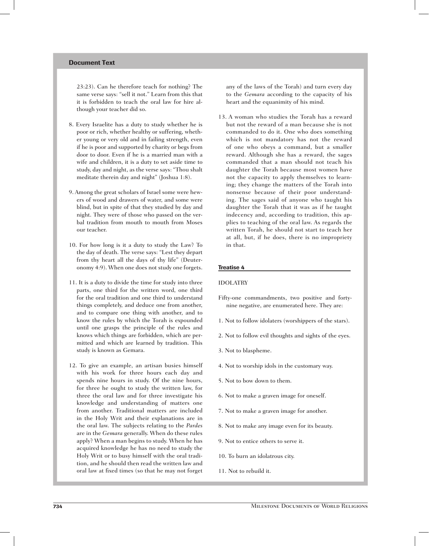23:23). Can he therefore teach for nothing? The same verse says: "sell it not." Learn from this that it is forbidden to teach the oral law for hire although your teacher did so.

- 8. Every Israelite has a duty to study whether he is poor or rich, whether healthy or suffering, whether young or very old and in failing strength, even if he is poor and supported by charity or begs from door to door. Even if he is a married man with a wife and children, it is a duty to set aside time to study, day and night, as the verse says: "Thou shalt meditate therein day and night" (Joshua 1:8).
- 9. Among the great scholars of Israel some were hewers of wood and drawers of water, and some were blind, but in spite of that they studied by day and night. They were of those who passed on the verbal tradition from mouth to mouth from Moses our teacher.
- 10. For how long is it a duty to study the Law? To the day of death. The verse says: "Lest they depart from thy heart all the days of thy life" (Deuteronomy 4:9). When one does not study one forgets.
- 11. It is a duty to divide the time for study into three parts, one third for the written word, one third for the oral tradition and one third to understand things completely, and deduce one from another, and to compare one thing with another, and to know the rules by which the Torah is expounded until one grasps the principle of the rules and knows which things are forbidden, which are permitted and which are learned by tradition. This study is known as Gemara.
- 12. To give an example, an artisan busies himself with his work for three hours each day and spends nine hours in study. Of the nine hours, for three he ought to study the written law, for three the oral law and for three investigate his knowledge and understanding of matters one from another. Traditional matters are included in the Holy Writ and their explanations are in the oral law. The subjects relating to the *Pardes* are in the *Gemara* generally. When do these rules apply? When a man begins to study. When he has acquired knowledge he has no need to study the Holy Writ or to busy himself with the oral tradition, and he should then read the written law and oral law at fixed times (so that he may not forget

any of the laws of the Torah) and turn every day to the *Gemara* according to the capacity of his heart and the equanimity of his mind.

13. A woman who studies the Torah has a reward but not the reward of a man because she is not commanded to do it. One who does something which is not mandatory has not the reward of one who obeys a command, but a smaller reward. Although she has a reward, the sages commanded that a man should not teach his daughter the Torah because most women have not the capacity to apply themselves to learning; they change the matters of the Torah into nonsense because of their poor understanding. The sages said of anyone who taught his daughter the Torah that it was as if he taught indecency and, according to tradition, this applies to teaching of the oral law. As regards the written Torah, he should not start to teach her at all, but, if he does, there is no impropriety in that.

#### Treatise 4

#### IDOLATRY

- Fifty-one commandments, two positive and fortynine negative, are enumerated here. They are:
- 1. Not to follow idolaters (worshippers of the stars).
- 2. Not to follow evil thoughts and sights of the eyes.
- 3. Not to blaspheme.
- 4. Not to worship idols in the customary way.
- 5. Not to bow down to them.
- 6. Not to make a graven image for oneself.
- 7. Not to make a graven image for another.
- 8. Not to make any image even for its beauty.
- 9. Not to entice others to serve it.
- 10. To burn an idolatrous city.
- 11. Not to rebuild it.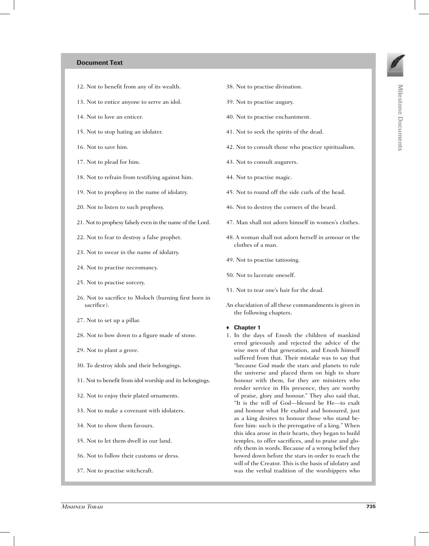- 12. Not to benefit from any of its wealth.
- 13. Not to entice anyone to serve an idol.
- 14. Not to love an enticer.
- 15. Not to stop hating an idolater.
- 16. Not to save him.
- 17. Not to plead for him.
- 18. Not to refrain from testifying against him.
- 19. Not to prophesy in the name of idolatry.
- 20. Not to listen to such prophesy.
- 21. Not to prophesy falsely even in the name of the Lord.
- 22. Not to fear to destroy a false prophet.
- 23. Not to swear in the name of idolatry.
- 24. Not to practise necromancy.
- 25. Not to practise sorcery.
- 26. Not to sacrifice to Moloch (burning first born in sacrifice).
- 27. Not to set up a pillar.
- 28. Not to bow down to a figure made of stone.
- 29. Not to plant a grove.
- 30. To destroy idols and their belongings.
- 31. Not to benefit from idol worship and its belongings.
- 32. Not to enjoy their plated ornaments.
- 33. Not to make a covenant with idolaters.
- 34. Not to show them favours.
- 35. Not to let them dwell in our land.
- 36. Not to follow their customs or dress.
- 37. Not to practise witchcraft.
- 38. Not to practise divination.
- 39. Not to practise augury.
- 40. Not to practise enchantment.
- 41. Not to seek the spirits of the dead.
- 42. Not to consult those who practice spiritualism.
- 43. Not to consult augurers.
- 44. Not to practise magic.
- 45. Not to round off the side curls of the head.
- 46. Not to destroy the corners of the beard.
- 47. Man shall not adorn himself in women's clothes.
- 48. A woman shall not adorn herself in armour or the clothes of a man.
- 49. Not to practise tattooing.
- 50. Not to lacerate oneself.
- 51. Not to tear one's hair for the dead.
- An elucidation of all these commandments is given in the following chapters.

#### ♦ Chapter 1

1. In the days of Enosh the children of mankind erred grievously and rejected the advice of the wise men of that generation, and Enosh himself suffered from that. Their mistake was to say that "because God made the stars and planets to rule the universe and placed them on high to share honour with them, for they are ministers who render service in His presence, they are worthy of praise, glory and honour." They also said that, "It is the will of God—blessed be He—to exalt and honour what He exalted and honoured, just as a king desires to honour those who stand before him: such is the prerogative of a king." When this idea arose in their hearts, they began to build temples, to offer sacrifices, and to praise and glorify them in words. Because of a wrong belief they bowed down before the stars in order to reach the will of the Creator. This is the basis of idolatry and was the verbal tradition of the worshippers who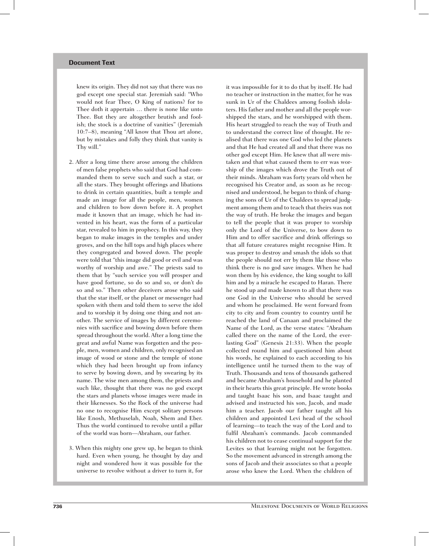knew its origin. They did not say that there was no god except one special star. Jeremiah said: "Who would not fear Thee, O King of nations? for to Thee doth it appertain … there is none like unto Thee. But they are altogether brutish and foolish; the stock is a doctrine of vanities" (Jeremiah 10:7–8), meaning "All know that Thou art alone, but by mistakes and folly they think that vanity is Thy will."

- 2. After a long time there arose among the children of men false prophets who said that God had commanded them to serve such and such a star, or all the stars. They brought offerings and libations to drink in certain quantities, built a temple and made an image for all the people, men, women and children to bow down before it. A prophet made it known that an image, which he had invented in his heart, was the form of a particular star, revealed to him in prophecy. In this way, they began to make images in the temples and under groves, and on the hill tops and high places where they congregated and bowed down. The people were told that "this image did good or evil and was worthy of worship and awe." The priests said to them that by "such service you will prosper and have good fortune, so do so and so, or don't do so and so." Then other deceivers arose who said that the star itself, or the planet or messenger had spoken with them and told them to serve the idol and to worship it by doing one thing and not another. The service of images by different ceremonies with sacrifice and bowing down before them spread throughout the world. After a long time the great and awful Name was forgotten and the people, men, women and children, only recognised an image of wood or stone and the temple of stone which they had been brought up from infancy to serve by bowing down, and by swearing by its name. The wise men among them, the priests and such like, thought that there was no god except the stars and planets whose images were made in their likenesses. So the Rock of the universe had no one to recognise Him except solitary persons like Enosh, Methuselah, Noah, Shem and Eber. Thus the world continued to revolve until a pillar of the world was born—Abraham, our father.
- 3. When this mighty one grew up, he began to think hard. Even when young, he thought by day and night and wondered how it was possible for the universe to revolve without a driver to turn it, for

it was impossible for it to do that by itself. He had no teacher or instruction in the matter, for he was sunk in Ur of the Chaldees among foolish idolaters. His father and mother and all the people worshipped the stars, and he worshipped with them. His heart struggled to reach the way of Truth and to understand the correct line of thought. He realised that there was one God who led the planets and that He had created all and that there was no other god except Him. He knew that all were mistaken and that what caused them to err was worship of the images which drove the Truth out of their minds. Abraham was forty years old when he recognised his Creator and, as soon as he recognised and understood, he began to think of changing the sons of Ur of the Chaldees to spread judgment among them and to teach that theirs was not the way of truth. He broke the images and began to tell the people that it was proper to worship only the Lord of the Universe, to bow down to Him and to offer sacrifice and drink offerings so that all future creatures might recognise Him. It was proper to destroy and smash the idols so that the people should not err by them like those who think there is no god save images. When he had won them by his evidence, the king sought to kill him and by a miracle he escaped to Haran. There he stood up and made known to all that there was one God in the Universe who should be served and whom he proclaimed. He went forward from city to city and from country to country until he reached the land of Canaan and proclaimed the Name of the Lord, as the verse states: "Abraham called there on the name of the Lord, the everlasting God" (Genesis 21:33). When the people collected round him and questioned him about his words, he explained to each according to his intelligence until he turned them to the way of Truth. Thousands and tens of thousands gathered and became Abraham's household and he planted in their hearts this great principle. He wrote books and taught Isaac his son, and Isaac taught and advised and instructed his son, Jacob, and made him a teacher. Jacob our father taught all his children and appointed Levi head of the school of learning—to teach the way of the Lord and to fulfil Abraham's commands. Jacob commanded his children not to cease continual support for the Levites so that learning might not be forgotten. So the movement advanced in strength among the sons of Jacob and their associates so that a people arose who knew the Lord. When the children of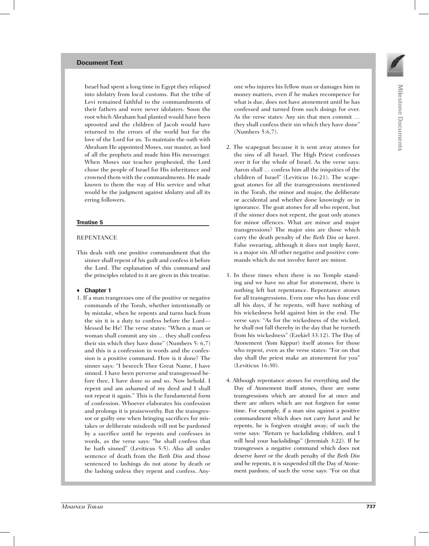Israel had spent a long time in Egypt they relapsed into idolatry from local customs. But the tribe of Levi remained faithful to the commandments of their fathers and were never idolaters. Soon the root which Abraham had planted would have been uprooted and the children of Jacob would have returned to the errors of the world but for the love of the Lord for us. To maintain the oath with Abraham He appointed Moses, our master, as lord of all the prophets and made him His messenger. When Moses our teacher prophesied, the Lord chose the people of Israel for His inheritance and crowned them with the commandments. He made known to them the way of His service and what would be the judgment against idolatry and all its erring followers.

#### Treatise 5

# **REPENTANCE**

This deals with one positive commandment that the sinner shall repent of his guilt and confess it before the Lord. The explanation of this command and the principles related to it are given in this treatise.

# ♦ Chapter 1

1. If a man trangresses one of the positive or negative commands of the Torah, whether intentionally or by mistake, when he repents and turns back from the sin it is a duty to confess before the Lord blessed be He! The verse states: "When a man or woman shall commit any sin … they shall confess their sin which they have done" (Numbers 5: 6,7) and this is a confession in words and the confession is a positive command. How is it done? The sinner says: "I beseech Thee Great Name, I have sinned. I have been perverse and transgressed before thee, I have done so and so. Now behold. I repent and am ashamed of my deed and I shall not repeat it again." This is the fundamental form of confession. Whoever elaborates his confession and prolongs it is praiseworthy. But the transgressor or guilty one when bringing sacrifices for mistakes or deliberate misdeeds will not be pardoned by a sacrifice until he repents and confesses in words, as the verse says: "he shall confess that he hath sinned" (Leviticus 5:5). Also all under sentence of death from the *Beth Din* and those sentenced to lashings do not atone by death or the lashing unless they repent and confess. Any-

one who injures his fellow man or damages him in money matters, even if he makes recompence for what is due, does not have atonement until he has confessed and turned from such doings for ever. As the verse states: Any sin that men commit … they shall confess their sin which they have done" (Numbers 5:6,7).

- 2. The scapegoat because it is sent away atones for the sins of all Israel. The High Priest confesses over it for the whole of Israel. As the verse says: Aaron shall … confess him all the iniquities of the children of Israel" (Leviticus 16:21). The scapegoat atones for all the transgressions mentioned in the Torah, the minor and major, the deliberate or accidental and whether done knowingly or in ignorance. The goat atones for all who repent, but if the sinner does not repent, the goat only atones for minor offences. What are minor and major transgressions? The major sins are those which carry the death penalty of the *Beth Din* or *karet*. False swearing, although it does not imply *karet*, is a major sin. All other negative and positive commands which do not involve *karet* are minor.
- 3. In these times when there is no Temple standing and we have no altar for atonement, there is nothing left but repentance. Repentance atones for all transgressions. Even one who has done evil all his days, if he repents, will have nothing of his wickedness held against him in the end. The verse says: "As for the wickedness of the wicked, he shall not fall thereby in the day that he turneth from his wickedness" (Ezekiel 33:12). The Day of Atonement (Yom Kippur) itself atones for those who repent, even as the verse states: "For on that day shall the priest make an atonement for you" (Leviticus 16:30).
- 4. Although repentance atones for everything and the Day of Atonement itself atones, there are some transgressions which are atoned for at once and there are others which are not forgiven for some time. For example, if a man sins against a positive commandment which does not carry *karet* and he repents, he is forgiven straight away; of such the verse says: "Return ye backsliding children, and I will heal your backslidings" (Jeremiah 3:22). If he transgresses a negative command which does not deserve *karet* or the death penalty of the *Beth Din* and he repents, it is suspended till the Day of Atonement pardons; of such the verse says: "For on that